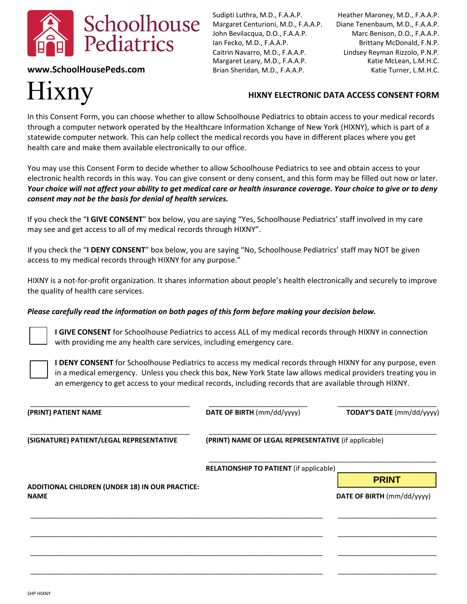

**www.SchoolHousePeds.com** Brian Sheridan, M.D., F.A.A.P. Katie Turner, L.M.H.C.

# Hixny

Sudipti Luthra, M.D., F.A.A.P. Heather Maroney, M.D., F.A.A.P. Margaret Centurioni, M.D., F.A.A.P. Diane Tenenbaum, M.D., F.A.A.P. John Bevilacqua, D.O., F.A.A.P. Marc Benison, D.O., F.A.A.P. Ian Fecko, M.D., F.A.A.P. Brittany McDonald, F.N.P. Caitrin Navarro, M.D., F.A.A.P. Lindsey Reyman Rizzolo, P.N.P. Margaret Leary, M.D., F.A.A.P. Katie McLean, L.M.H.C.

# **HIXNY ELECTRONIC DATA ACCESS CONSENT FORM**

In this Consent Form, you can choose whether to allow Schoolhouse Pediatrics to obtain access to your medical records through a computer network operated by the Healthcare Information Xchange of New York (HIXNY), which is part of a statewide computer network. This can help collect the medical records you have in different places where you get health care and make them available electronically to our office.

You may use this Consent Form to decide whether to allow Schoolhouse Pediatrics to see and obtain access to your electronic health records in this way. You can give consent or deny consent, and this form may be filled out now or later. *Your choice will not affect your ability to get medical care or health insurance coverage. Your choice to give or to deny consent may not be the basis for denial of health services.*

If you check the "**I GIVE CONSENT**" box below, you are saying "Yes, Schoolhouse Pediatrics' staff involved in my care may see and get access to all of my medical records through HIXNY".

If you check the "**I DENY CONSENT**" box below, you are saying "No, Schoolhouse Pediatrics' staff may NOT be given access to my medical records through HIXNY for any purpose."

HIXNY is a not-for-profit organization. It shares information about people's health electronically and securely to improve the quality of health care services.

### *Please carefully read the information on both pages of this form before making your decision below.*

**I GIVE CONSENT** for Schoolhouse Pediatrics to access ALL of my medical records through HIXNY in connection with providing me any health care services, including emergency care.

**I DENY CONSENT** for Schoolhouse Pediatrics to access my medical records through HIXNY for any purpose, even in a medical emergency. Unless you check this box, New York State law allows medical providers treating you in an emergency to get access to your medical records, including records that are available through HIXNY.

| (PRINT) PATIENT NAME                                           | DATE OF BIRTH (mm/dd/yyyy)                           | TODAY'S DATE (mm/dd/yyyy)  |
|----------------------------------------------------------------|------------------------------------------------------|----------------------------|
| (SIGNATURE) PATIENT/LEGAL REPRESENTATIVE                       | (PRINT) NAME OF LEGAL REPRESENTATIVE (if applicable) |                            |
|                                                                | <b>RELATIONSHIP TO PATIENT (if applicable)</b>       |                            |
| ADDITIONAL CHILDREN (UNDER 18) IN OUR PRACTICE:<br><b>NAME</b> |                                                      | <b>PRINT</b>               |
|                                                                |                                                      | DATE OF BIRTH (mm/dd/yyyy) |
|                                                                |                                                      |                            |
|                                                                |                                                      |                            |
|                                                                |                                                      |                            |
|                                                                |                                                      |                            |